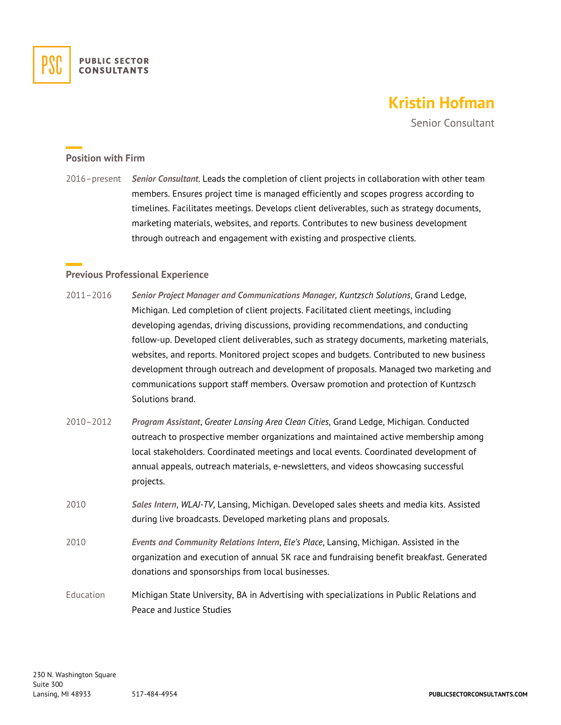

# **Kristin Hofman**

Senior Consultant

#### **Position with Firm**

2016–present *Senior Consultant*. Leads the completion of client projects in collaboration with other team members. Ensures project time is managed efficiently and scopes progress according to timelines. Facilitates meetings. Develops client deliverables, such as strategy documents, marketing materials, websites, and reports. Contributes to new business development through outreach and engagement with existing and prospective clients.

## **Previous Professional Experience**

- 2011–2016 *Senior Project Manager and Communications Manager, Kuntzsch Solutions*, Grand Ledge, Michigan. Led completion of client projects. Facilitated client meetings, including developing agendas, driving discussions, providing recommendations, and conducting follow-up. Developed client deliverables, such as strategy documents, marketing materials, websites, and reports. Monitored project scopes and budgets. Contributed to new business development through outreach and development of proposals. Managed two marketing and communications support staff members. Oversaw promotion and protection of Kuntzsch Solutions brand.
- 2010–2012 *Program Assistant*, *Greater Lansing Area Clean Cities*, Grand Ledge, Michigan. Conducted outreach to prospective member organizations and maintained active membership among local stakeholders. Coordinated meetings and local events. Coordinated development of annual appeals, outreach materials, e-newsletters, and videos showcasing successful projects.
- 2010 *Sales Intern*, *WLAJ-TV*, Lansing, Michigan. Developed sales sheets and media kits. Assisted during live broadcasts. Developed marketing plans and proposals.
- 2010 *Events and Community Relations Intern*, *Ele's Place*, Lansing, Michigan. Assisted in the organization and execution of annual 5K race and fundraising benefit breakfast. Generated donations and sponsorships from local businesses.
- Education Michigan State University, BA in Advertising with specializations in Public Relations and Peace and Justice Studies